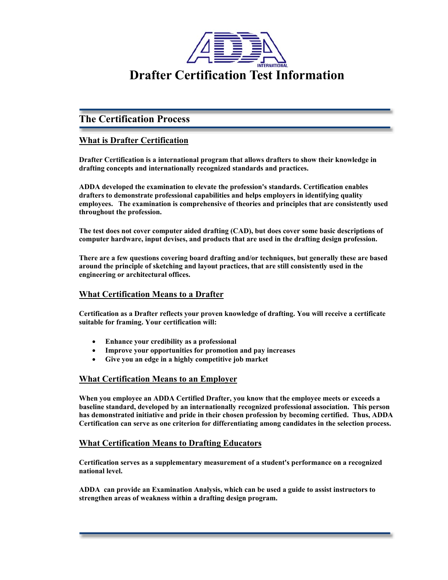

# **The Certification Process**

## **What is Drafter Certification**

**Drafter Certification is a international program that allows drafters to show their knowledge in drafting concepts and internationally recognized standards and practices.** 

**ADDA developed the examination to elevate the profession's standards. Certification enables drafters to demonstrate professional capabilities and helps employers in identifying quality employees. The examination is comprehensive of theories and principles that are consistently used throughout the profession.** 

**The test does not cover computer aided drafting (CAD), but does cover some basic descriptions of computer hardware, input devises, and products that are used in the drafting design profession.** 

**There are a few questions covering board drafting and/or techniques, but generally these are based around the principle of sketching and layout practices, that are still consistently used in the engineering or architectural offices.** 

## **What Certification Means to a Drafter**

**Certification as a Drafter reflects your proven knowledge of drafting. You will receive a certificate suitable for framing. Your certification will:** 

- **Enhance your credibility as a professional**
- **Improve your opportunities for promotion and pay increases**
- **Give you an edge in a highly competitive job market**

### **What Certification Means to an Employer**

**When you employee an ADDA Certified Drafter, you know that the employee meets or exceeds a baseline standard, developed by an internationally recognized professional association. This person has demonstrated initiative and pride in their chosen profession by becoming certified. Thus, ADDA Certification can serve as one criterion for differentiating among candidates in the selection process.** 

### **What Certification Means to Drafting Educators**

**Certification serves as a supplementary measurement of a student's performance on a recognized national level.** 

**ADDA can provide an Examination Analysis, which can be used a guide to assist instructors to strengthen areas of weakness within a drafting design program.**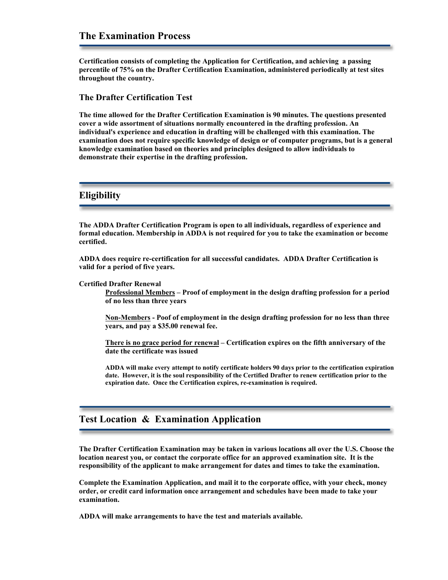**Certification consists of completing the Application for Certification, and achieving a passing percentile of 75% on the Drafter Certification Examination, administered periodically at test sites throughout the country.** 

#### **The Drafter Certification Test**

**The time allowed for the Drafter Certification Examination is 90 minutes. The questions presented cover a wide assortment of situations normally encountered in the drafting profession. An individual's experience and education in drafting will be challenged with this examination. The examination does not require specific knowledge of design or of computer programs, but is a general knowledge examination based on theories and principles designed to allow individuals to demonstrate their expertise in the drafting profession.** 

## **Eligibility**

**The ADDA Drafter Certification Program is open to all individuals, regardless of experience and formal education. Membership in ADDA is not required for you to take the examination or become certified.** 

**ADDA does require re-certification for all successful candidates. ADDA Drafter Certification is valid for a period of five years.** 

#### **Certified Drafter Renewal**

**Professional Members – Proof of employment in the design drafting profession for a period of no less than three years** 

**Non-Members - Poof of employment in the design drafting profession for no less than three years, and pay a \$35.00 renewal fee.** 

**There is no grace period for renewal – Certification expires on the fifth anniversary of the date the certificate was issued** 

**ADDA will make every attempt to notify certificate holders 90 days prior to the certification expiration date. However, it is the soul responsibility of the Certified Drafter to renew certification prior to the expiration date. Once the Certification expires, re-examination is required.** 

## **Test Location & Examination Application**

**The Drafter Certification Examination may be taken in various locations all over the U.S. Choose the location nearest you, or contact the corporate office for an approved examination site. It is the responsibility of the applicant to make arrangement for dates and times to take the examination.** 

**Complete the Examination Application, and mail it to the corporate office, with your check, money order, or credit card information once arrangement and schedules have been made to take your examination.** 

**ADDA will make arrangements to have the test and materials available.**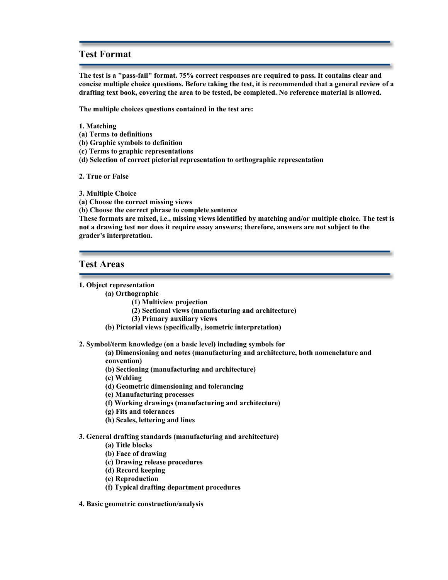## **Test Format**

**The test is a "pass-fail" format. 75% correct responses are required to pass. It contains clear and concise multiple choice questions. Before taking the test, it is recommended that a general review of a drafting text book, covering the area to be tested, be completed. No reference material is allowed.** 

**The multiple choices questions contained in the test are:** 

- **1. Matching**
- **(a) Terms to definitions**
- **(b) Graphic symbols to definition**
- **(c) Terms to graphic representations**
- **(d) Selection of correct pictorial representation to orthographic representation**

**2. True or False** 

**3. Multiple Choice** 

**(a) Choose the correct missing views** 

**(b) Choose the correct phrase to complete sentence** 

**These formats are mixed, i.e., missing views identified by matching and/or multiple choice. The test is not a drawing test nor does it require essay answers; therefore, answers are not subject to the grader's interpretation.** 

### **Test Areas**

#### **1. Object representation**

- **(a) Orthographic** 
	- **(1) Multiview projection**
	- **(2) Sectional views (manufacturing and architecture)**
	- **(3) Primary auxiliary views**
	- **(b) Pictorial views (specifically, isometric interpretation)**

**2. Symbol/term knowledge (on a basic level) including symbols for** 

**(a) Dimensioning and notes (manufacturing and architecture, both nomenclature and convention)** 

**(b) Sectioning (manufacturing and architecture)** 

- **(c) Welding**
- **(d) Geometric dimensioning and tolerancing**
- **(e) Manufacturing processes**
- **(f) Working drawings (manufacturing and architecture)**
- **(g) Fits and tolerances**
- **(h) Scales, lettering and lines**

#### **3. General drafting standards (manufacturing and architecture)**

- **(a) Title blocks**
- **(b) Face of drawing**
- **(c) Drawing release procedures**
- **(d) Record keeping**
- **(e) Reproduction**
- **(f) Typical drafting department procedures**
- **4. Basic geometric construction/analysis**